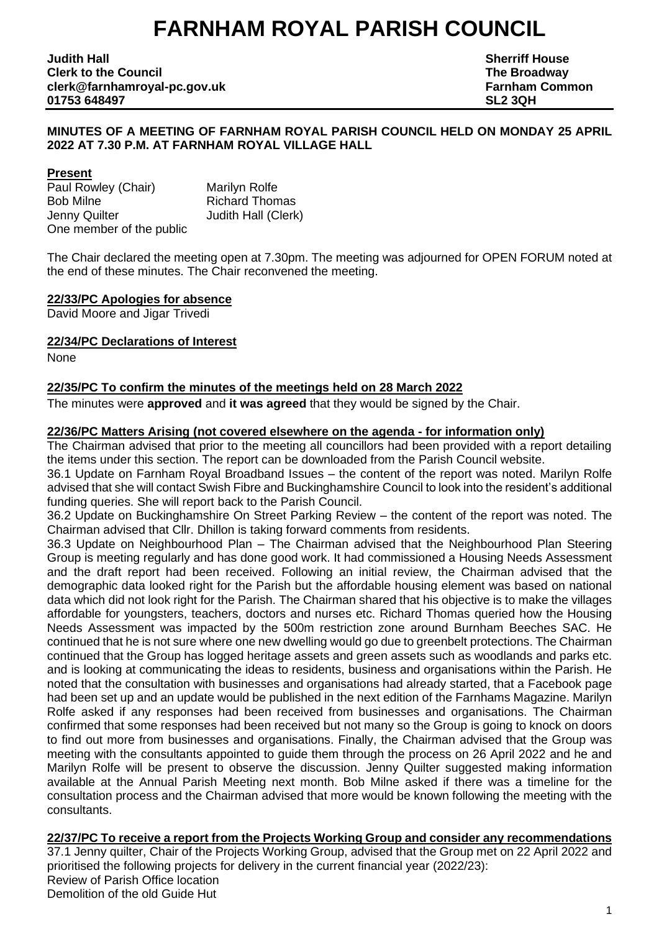# **FARNHAM ROYAL PARISH COUNCIL**

**Judith Hall Sherriff House Clerk to the Council The Broadway clerk@farnhamroyal-pc.gov.uk Farnham Common 01753 648497 SL2 3QH**

#### **MINUTES OF A MEETING OF FARNHAM ROYAL PARISH COUNCIL HELD ON MONDAY 25 APRIL 2022 AT 7.30 P.M. AT FARNHAM ROYAL VILLAGE HALL**

#### **Present**

Paul Rowley (Chair) Marilyn Rolfe Bob Milne Richard Thomas Jenny Quilter **Judith Hall (Clerk)** One member of the public

The Chair declared the meeting open at 7.30pm. The meeting was adjourned for OPEN FORUM noted at the end of these minutes. The Chair reconvened the meeting.

#### **22/33/PC Apologies for absence**

David Moore and Jigar Trivedi

#### **22/34/PC Declarations of Interest**

None

#### **22/35/PC To confirm the minutes of the meetings held on 28 March 2022**

The minutes were **approved** and **it was agreed** that they would be signed by the Chair.

#### **22/36/PC Matters Arising (not covered elsewhere on the agenda - for information only)**

The Chairman advised that prior to the meeting all councillors had been provided with a report detailing the items under this section. The report can be downloaded from the Parish Council website.

36.1 Update on Farnham Royal Broadband Issues – the content of the report was noted. Marilyn Rolfe advised that she will contact Swish Fibre and Buckinghamshire Council to look into the resident's additional funding queries. She will report back to the Parish Council.

36.2 Update on Buckinghamshire On Street Parking Review – the content of the report was noted. The Chairman advised that Cllr. Dhillon is taking forward comments from residents.

36.3 Update on Neighbourhood Plan – The Chairman advised that the Neighbourhood Plan Steering Group is meeting regularly and has done good work. It had commissioned a Housing Needs Assessment and the draft report had been received. Following an initial review, the Chairman advised that the demographic data looked right for the Parish but the affordable housing element was based on national data which did not look right for the Parish. The Chairman shared that his objective is to make the villages affordable for youngsters, teachers, doctors and nurses etc. Richard Thomas queried how the Housing Needs Assessment was impacted by the 500m restriction zone around Burnham Beeches SAC. He continued that he is not sure where one new dwelling would go due to greenbelt protections. The Chairman continued that the Group has logged heritage assets and green assets such as woodlands and parks etc. and is looking at communicating the ideas to residents, business and organisations within the Parish. He noted that the consultation with businesses and organisations had already started, that a Facebook page had been set up and an update would be published in the next edition of the Farnhams Magazine. Marilyn Rolfe asked if any responses had been received from businesses and organisations. The Chairman confirmed that some responses had been received but not many so the Group is going to knock on doors to find out more from businesses and organisations. Finally, the Chairman advised that the Group was meeting with the consultants appointed to guide them through the process on 26 April 2022 and he and Marilyn Rolfe will be present to observe the discussion. Jenny Quilter suggested making information available at the Annual Parish Meeting next month. Bob Milne asked if there was a timeline for the consultation process and the Chairman advised that more would be known following the meeting with the consultants.

**22/37/PC To receive a report from the Projects Working Group and consider any recommendations** 37.1 Jenny quilter, Chair of the Projects Working Group, advised that the Group met on 22 April 2022 and prioritised the following projects for delivery in the current financial year (2022/23): Review of Parish Office location Demolition of the old Guide Hut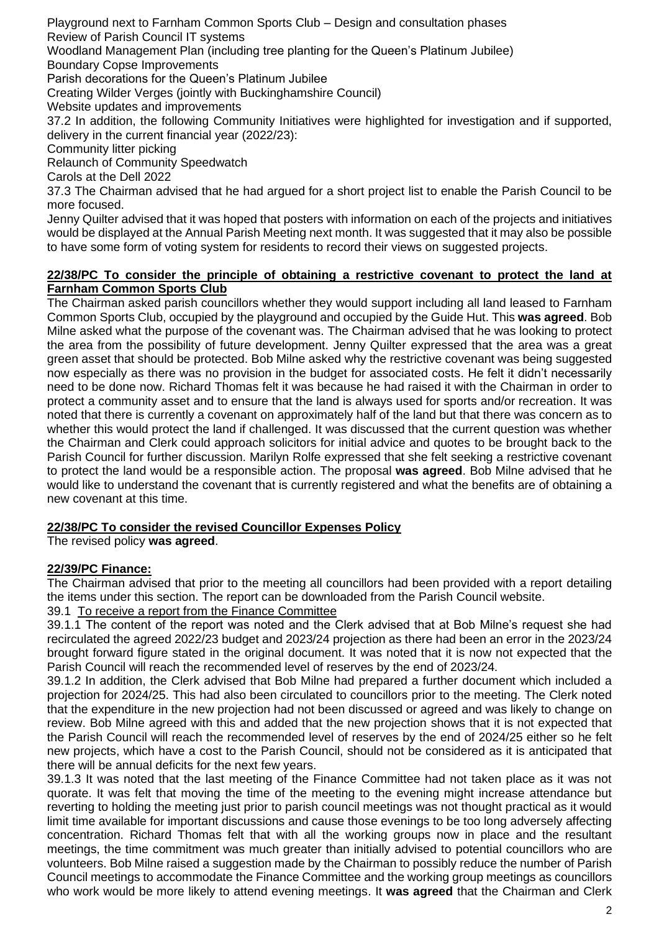Playground next to Farnham Common Sports Club – Design and consultation phases Review of Parish Council IT systems

Woodland Management Plan (including tree planting for the Queen's Platinum Jubilee) Boundary Copse Improvements

Parish decorations for the Queen's Platinum Jubilee

Creating Wilder Verges (jointly with Buckinghamshire Council)

Website updates and improvements

37.2 In addition, the following Community Initiatives were highlighted for investigation and if supported, delivery in the current financial year (2022/23):

Community litter picking

Relaunch of Community Speedwatch

Carols at the Dell 2022

37.3 The Chairman advised that he had argued for a short project list to enable the Parish Council to be more focused.

Jenny Quilter advised that it was hoped that posters with information on each of the projects and initiatives would be displayed at the Annual Parish Meeting next month. It was suggested that it may also be possible to have some form of voting system for residents to record their views on suggested projects.

#### **22/38/PC To consider the principle of obtaining a restrictive covenant to protect the land at Farnham Common Sports Club**

The Chairman asked parish councillors whether they would support including all land leased to Farnham Common Sports Club, occupied by the playground and occupied by the Guide Hut. This **was agreed**. Bob Milne asked what the purpose of the covenant was. The Chairman advised that he was looking to protect the area from the possibility of future development. Jenny Quilter expressed that the area was a great green asset that should be protected. Bob Milne asked why the restrictive covenant was being suggested now especially as there was no provision in the budget for associated costs. He felt it didn't necessarily need to be done now. Richard Thomas felt it was because he had raised it with the Chairman in order to protect a community asset and to ensure that the land is always used for sports and/or recreation. It was noted that there is currently a covenant on approximately half of the land but that there was concern as to whether this would protect the land if challenged. It was discussed that the current question was whether the Chairman and Clerk could approach solicitors for initial advice and quotes to be brought back to the Parish Council for further discussion. Marilyn Rolfe expressed that she felt seeking a restrictive covenant to protect the land would be a responsible action. The proposal **was agreed**. Bob Milne advised that he would like to understand the covenant that is currently registered and what the benefits are of obtaining a new covenant at this time.

## **22/38/PC To consider the revised Councillor Expenses Policy**

The revised policy **was agreed**.

## **22/39/PC Finance:**

The Chairman advised that prior to the meeting all councillors had been provided with a report detailing the items under this section. The report can be downloaded from the Parish Council website.

### 39.1 To receive a report from the Finance Committee

39.1.1 The content of the report was noted and the Clerk advised that at Bob Milne's request she had recirculated the agreed 2022/23 budget and 2023/24 projection as there had been an error in the 2023/24 brought forward figure stated in the original document. It was noted that it is now not expected that the Parish Council will reach the recommended level of reserves by the end of 2023/24.

39.1.2 In addition, the Clerk advised that Bob Milne had prepared a further document which included a projection for 2024/25. This had also been circulated to councillors prior to the meeting. The Clerk noted that the expenditure in the new projection had not been discussed or agreed and was likely to change on review. Bob Milne agreed with this and added that the new projection shows that it is not expected that the Parish Council will reach the recommended level of reserves by the end of 2024/25 either so he felt new projects, which have a cost to the Parish Council, should not be considered as it is anticipated that there will be annual deficits for the next few years.

39.1.3 It was noted that the last meeting of the Finance Committee had not taken place as it was not quorate. It was felt that moving the time of the meeting to the evening might increase attendance but reverting to holding the meeting just prior to parish council meetings was not thought practical as it would limit time available for important discussions and cause those evenings to be too long adversely affecting concentration. Richard Thomas felt that with all the working groups now in place and the resultant meetings, the time commitment was much greater than initially advised to potential councillors who are volunteers. Bob Milne raised a suggestion made by the Chairman to possibly reduce the number of Parish Council meetings to accommodate the Finance Committee and the working group meetings as councillors who work would be more likely to attend evening meetings. It **was agreed** that the Chairman and Clerk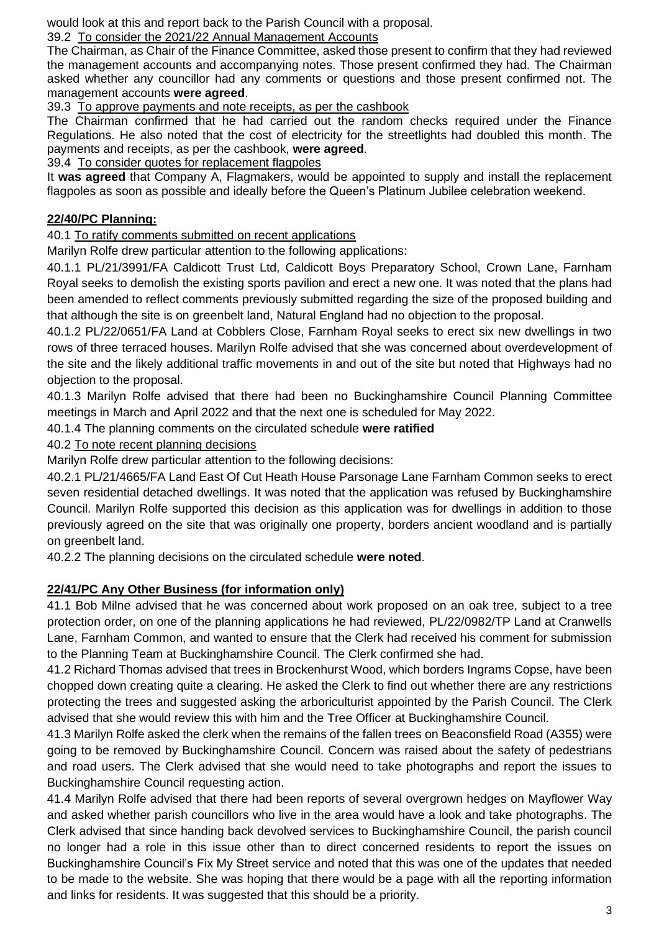would look at this and report back to the Parish Council with a proposal.

## 39.2 To consider the 2021/22 Annual Management Accounts

The Chairman, as Chair of the Finance Committee, asked those present to confirm that they had reviewed the management accounts and accompanying notes. Those present confirmed they had. The Chairman asked whether any councillor had any comments or questions and those present confirmed not. The management accounts **were agreed**.

39.3 To approve payments and note receipts, as per the cashbook

The Chairman confirmed that he had carried out the random checks required under the Finance Regulations. He also noted that the cost of electricity for the streetlights had doubled this month. The payments and receipts, as per the cashbook, **were agreed**.

39.4 To consider quotes for replacement flagpoles

It **was agreed** that Company A, Flagmakers, would be appointed to supply and install the replacement flagpoles as soon as possible and ideally before the Queen's Platinum Jubilee celebration weekend.

# **22/40/PC Planning:**

40.1 To ratify comments submitted on recent applications

Marilyn Rolfe drew particular attention to the following applications:

40.1.1 PL/21/3991/FA Caldicott Trust Ltd, Caldicott Boys Preparatory School, Crown Lane, Farnham Royal seeks to demolish the existing sports pavilion and erect a new one. It was noted that the plans had been amended to reflect comments previously submitted regarding the size of the proposed building and that although the site is on greenbelt land, Natural England had no objection to the proposal.

40.1.2 PL/22/0651/FA Land at Cobblers Close, Farnham Royal seeks to erect six new dwellings in two rows of three terraced houses. Marilyn Rolfe advised that she was concerned about overdevelopment of the site and the likely additional traffic movements in and out of the site but noted that Highways had no objection to the proposal.

40.1.3 Marilyn Rolfe advised that there had been no Buckinghamshire Council Planning Committee meetings in March and April 2022 and that the next one is scheduled for May 2022.

40.1.4 The planning comments on the circulated schedule **were ratified**

40.2 To note recent planning decisions

Marilyn Rolfe drew particular attention to the following decisions:

40.2.1 PL/21/4665/FA Land East Of Cut Heath House Parsonage Lane Farnham Common seeks to erect seven residential detached dwellings. It was noted that the application was refused by Buckinghamshire Council. Marilyn Rolfe supported this decision as this application was for dwellings in addition to those previously agreed on the site that was originally one property, borders ancient woodland and is partially on greenbelt land.

40.2.2 The planning decisions on the circulated schedule **were noted**.

## **22/41/PC Any Other Business (for information only)**

41.1 Bob Milne advised that he was concerned about work proposed on an oak tree, subject to a tree protection order, on one of the planning applications he had reviewed, PL/22/0982/TP Land at Cranwells Lane, Farnham Common, and wanted to ensure that the Clerk had received his comment for submission to the Planning Team at Buckinghamshire Council. The Clerk confirmed she had.

41.2 Richard Thomas advised that trees in Brockenhurst Wood, which borders Ingrams Copse, have been chopped down creating quite a clearing. He asked the Clerk to find out whether there are any restrictions protecting the trees and suggested asking the arboriculturist appointed by the Parish Council. The Clerk advised that she would review this with him and the Tree Officer at Buckinghamshire Council.

41.3 Marilyn Rolfe asked the clerk when the remains of the fallen trees on Beaconsfield Road (A355) were going to be removed by Buckinghamshire Council. Concern was raised about the safety of pedestrians and road users. The Clerk advised that she would need to take photographs and report the issues to Buckinghamshire Council requesting action.

41.4 Marilyn Rolfe advised that there had been reports of several overgrown hedges on Mayflower Way and asked whether parish councillors who live in the area would have a look and take photographs. The Clerk advised that since handing back devolved services to Buckinghamshire Council, the parish council no longer had a role in this issue other than to direct concerned residents to report the issues on Buckinghamshire Council's Fix My Street service and noted that this was one of the updates that needed to be made to the website. She was hoping that there would be a page with all the reporting information and links for residents. It was suggested that this should be a priority.